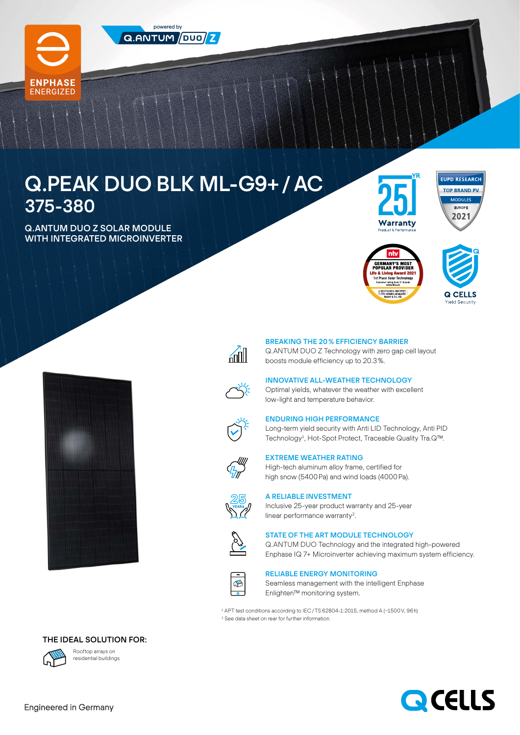

**ENERGIZED** 



powered by  $\alpha$ .ANTUM  $\sqrt{D U Q / Z}$ 

Q.ANTUM DUO Z SOLAR MODULE WITH INTEGRATED MICROINVERTER













#### BREAKING THE 20% EFFICIENCY BARRIER

Q.ANTUM DUO Z Technology with zero gap cell layout boosts module efficiency up to 20.3%.

## INNOVATIVE ALL-WEATHER TECHNOLOGY

Optimal yields, whatever the weather with excellent low-light and temperature behavior.



## ENDURING HIGH PERFORMANCE

Long-term yield security with Anti LID Technology, Anti PID Technology<sup>1</sup>, Hot-Spot Protect, Traceable Quality Tra.Q™.



### EXTREME WEATHER RATING

High-tech aluminum alloy frame, certified for high snow (5400Pa) and wind loads (4000Pa).



# A RELIABLE INVESTMENT

Inclusive 25-year product warranty and 25-year linear performance warranty<sup>2</sup>.



#### STATE OF THE ART MODULE TECHNOLOGY

Q.ANTUM DUO Technology and the integrated high-powered Enphase IQ 7+ Microinverter achieving maximum system efficiency.



#### RELIABLE ENERGY MONITORING

Seamless management with the intelligent Enphase Enlighten™ monitoring system.

1 APT test conditions according to IEC/TS 62804-1:2015, method A (−1500V, 96h) 2 See data sheet on rear for further information.





Rooftop arrays on residential buildings